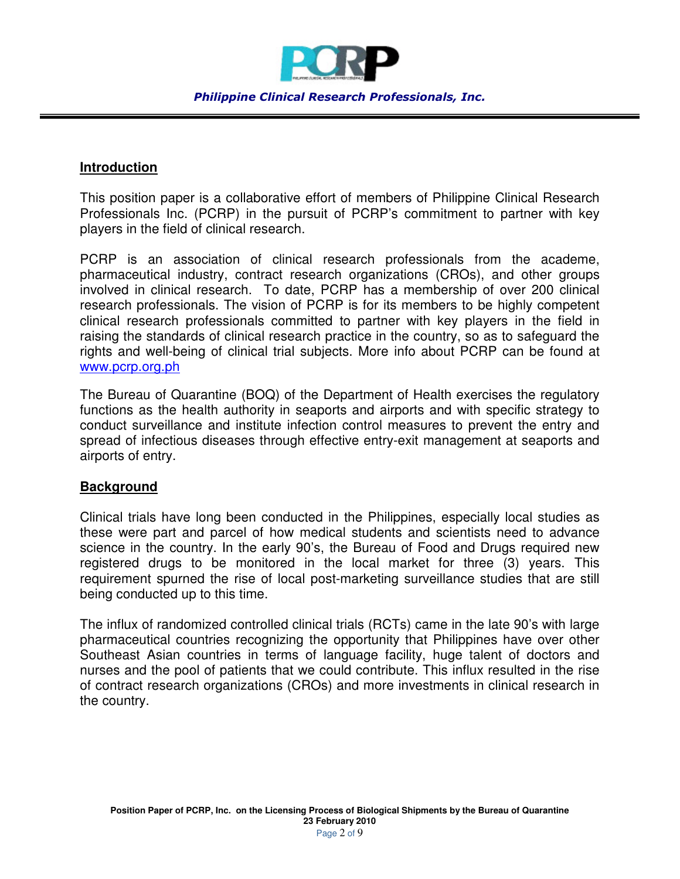

*Philippine Clinical Research Professionals, Inc.* 

## **Introduction**

This position paper is a collaborative effort of members of Philippine Clinical Research Professionals Inc. (PCRP) in the pursuit of PCRP's commitment to partner with key players in the field of clinical research.

PCRP is an association of clinical research professionals from the academe, pharmaceutical industry, contract research organizations (CROs), and other groups involved in clinical research. To date, PCRP has a membership of over 200 clinical research professionals. The vision of PCRP is for its members to be highly competent clinical research professionals committed to partner with key players in the field in raising the standards of clinical research practice in the country, so as to safeguard the rights and well-being of clinical trial subjects. More info about PCRP can be found at www.pcrp.org.ph

The Bureau of Quarantine (BOQ) of the Department of Health exercises the regulatory functions as the health authority in seaports and airports and with specific strategy to conduct surveillance and institute infection control measures to prevent the entry and spread of infectious diseases through effective entry-exit management at seaports and airports of entry.

## **Background**

Clinical trials have long been conducted in the Philippines, especially local studies as these were part and parcel of how medical students and scientists need to advance science in the country. In the early 90's, the Bureau of Food and Drugs required new registered drugs to be monitored in the local market for three (3) years. This requirement spurned the rise of local post-marketing surveillance studies that are still being conducted up to this time.

The influx of randomized controlled clinical trials (RCTs) came in the late 90's with large pharmaceutical countries recognizing the opportunity that Philippines have over other Southeast Asian countries in terms of language facility, huge talent of doctors and nurses and the pool of patients that we could contribute. This influx resulted in the rise of contract research organizations (CROs) and more investments in clinical research in the country.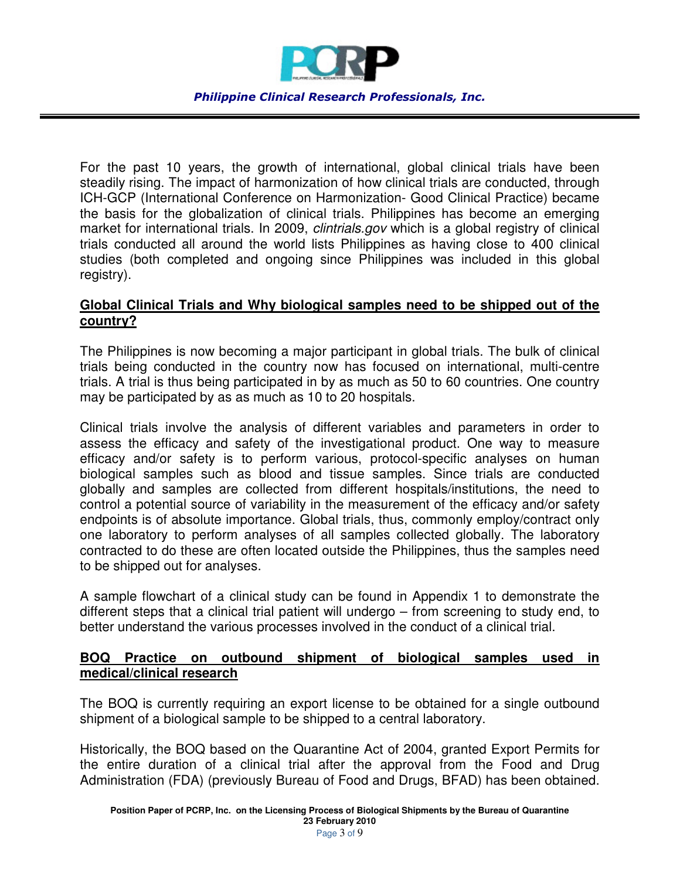

For the past 10 years, the growth of international, global clinical trials have been steadily rising. The impact of harmonization of how clinical trials are conducted, through ICH-GCP (International Conference on Harmonization- Good Clinical Practice) became the basis for the globalization of clinical trials. Philippines has become an emerging market for international trials. In 2009, *clintrials.gov* which is a global registry of clinical trials conducted all around the world lists Philippines as having close to 400 clinical studies (both completed and ongoing since Philippines was included in this global registry).

# **Global Clinical Trials and Why biological samples need to be shipped out of the country?**

The Philippines is now becoming a major participant in global trials. The bulk of clinical trials being conducted in the country now has focused on international, multi-centre trials. A trial is thus being participated in by as much as 50 to 60 countries. One country may be participated by as as much as 10 to 20 hospitals.

Clinical trials involve the analysis of different variables and parameters in order to assess the efficacy and safety of the investigational product. One way to measure efficacy and/or safety is to perform various, protocol-specific analyses on human biological samples such as blood and tissue samples. Since trials are conducted globally and samples are collected from different hospitals/institutions, the need to control a potential source of variability in the measurement of the efficacy and/or safety endpoints is of absolute importance. Global trials, thus, commonly employ/contract only one laboratory to perform analyses of all samples collected globally. The laboratory contracted to do these are often located outside the Philippines, thus the samples need to be shipped out for analyses.

A sample flowchart of a clinical study can be found in Appendix 1 to demonstrate the different steps that a clinical trial patient will undergo – from screening to study end, to better understand the various processes involved in the conduct of a clinical trial.

## **BOQ Practice on outbound shipment of biological samples used in medical/clinical research**

The BOQ is currently requiring an export license to be obtained for a single outbound shipment of a biological sample to be shipped to a central laboratory.

Historically, the BOQ based on the Quarantine Act of 2004, granted Export Permits for the entire duration of a clinical trial after the approval from the Food and Drug Administration (FDA) (previously Bureau of Food and Drugs, BFAD) has been obtained.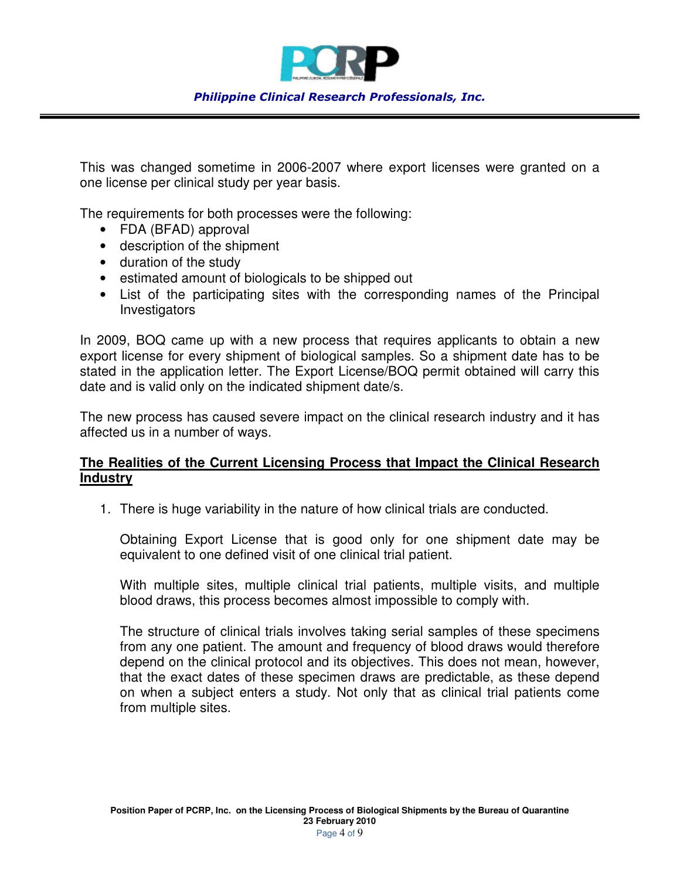

This was changed sometime in 2006-2007 where export licenses were granted on a one license per clinical study per year basis.

The requirements for both processes were the following:

- FDA (BFAD) approval
- description of the shipment
- duration of the study
- estimated amount of biologicals to be shipped out
- List of the participating sites with the corresponding names of the Principal Investigators

In 2009, BOQ came up with a new process that requires applicants to obtain a new export license for every shipment of biological samples. So a shipment date has to be stated in the application letter. The Export License/BOQ permit obtained will carry this date and is valid only on the indicated shipment date/s.

The new process has caused severe impact on the clinical research industry and it has affected us in a number of ways.

## **The Realities of the Current Licensing Process that Impact the Clinical Research Industry**

1. There is huge variability in the nature of how clinical trials are conducted.

Obtaining Export License that is good only for one shipment date may be equivalent to one defined visit of one clinical trial patient.

With multiple sites, multiple clinical trial patients, multiple visits, and multiple blood draws, this process becomes almost impossible to comply with.

The structure of clinical trials involves taking serial samples of these specimens from any one patient. The amount and frequency of blood draws would therefore depend on the clinical protocol and its objectives. This does not mean, however, that the exact dates of these specimen draws are predictable, as these depend on when a subject enters a study. Not only that as clinical trial patients come from multiple sites.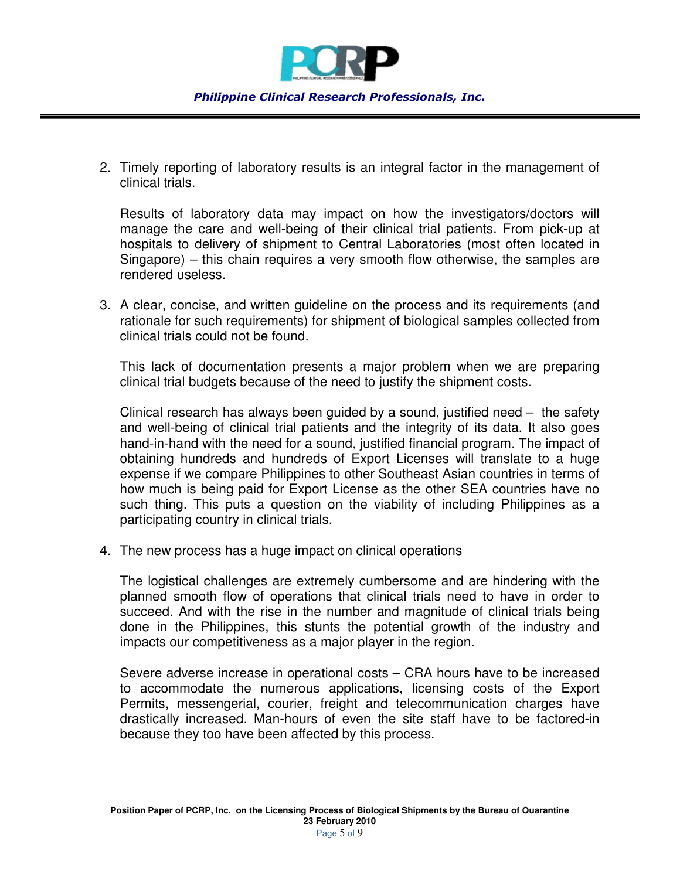

2. Timely reporting of laboratory results is an integral factor in the management of clinical trials.

Results of laboratory data may impact on how the investigators/doctors will manage the care and well-being of their clinical trial patients. From pick-up at hospitals to delivery of shipment to Central Laboratories (most often located in Singapore) – this chain requires a very smooth flow otherwise, the samples are rendered useless.

3. A clear, concise, and written guideline on the process and its requirements (and rationale for such requirements) for shipment of biological samples collected from clinical trials could not be found.

This lack of documentation presents a major problem when we are preparing clinical trial budgets because of the need to justify the shipment costs.

Clinical research has always been guided by a sound, justified need – the safety and well-being of clinical trial patients and the integrity of its data. It also goes hand-in-hand with the need for a sound, justified financial program. The impact of obtaining hundreds and hundreds of Export Licenses will translate to a huge expense if we compare Philippines to other Southeast Asian countries in terms of how much is being paid for Export License as the other SEA countries have no such thing. This puts a question on the viability of including Philippines as a participating country in clinical trials.

4. The new process has a huge impact on clinical operations

The logistical challenges are extremely cumbersome and are hindering with the planned smooth flow of operations that clinical trials need to have in order to succeed. And with the rise in the number and magnitude of clinical trials being done in the Philippines, this stunts the potential growth of the industry and impacts our competitiveness as a major player in the region.

Severe adverse increase in operational costs – CRA hours have to be increased to accommodate the numerous applications, licensing costs of the Export Permits, messengerial, courier, freight and telecommunication charges have drastically increased. Man-hours of even the site staff have to be factored-in because they too have been affected by this process.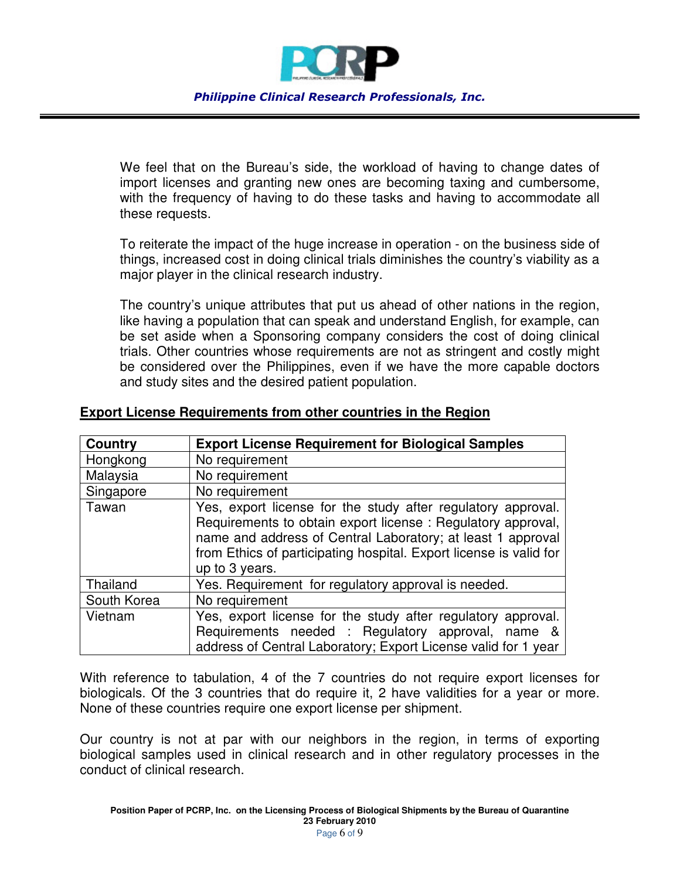

We feel that on the Bureau's side, the workload of having to change dates of import licenses and granting new ones are becoming taxing and cumbersome, with the frequency of having to do these tasks and having to accommodate all these requests.

To reiterate the impact of the huge increase in operation - on the business side of things, increased cost in doing clinical trials diminishes the country's viability as a major player in the clinical research industry.

The country's unique attributes that put us ahead of other nations in the region, like having a population that can speak and understand English, for example, can be set aside when a Sponsoring company considers the cost of doing clinical trials. Other countries whose requirements are not as stringent and costly might be considered over the Philippines, even if we have the more capable doctors and study sites and the desired patient population.

| Country     | <b>Export License Requirement for Biological Samples</b>                                                                                                                                                                                                                           |
|-------------|------------------------------------------------------------------------------------------------------------------------------------------------------------------------------------------------------------------------------------------------------------------------------------|
| Hongkong    | No requirement                                                                                                                                                                                                                                                                     |
| Malaysia    | No requirement                                                                                                                                                                                                                                                                     |
| Singapore   | No requirement                                                                                                                                                                                                                                                                     |
| Tawan       | Yes, export license for the study after regulatory approval.<br>Requirements to obtain export license: Regulatory approval,<br>name and address of Central Laboratory; at least 1 approval<br>from Ethics of participating hospital. Export license is valid for<br>up to 3 years. |
| Thailand    | Yes. Requirement for regulatory approval is needed.                                                                                                                                                                                                                                |
| South Korea | No requirement                                                                                                                                                                                                                                                                     |
| Vietnam     | Yes, export license for the study after regulatory approval.<br>Requirements needed : Regulatory approval, name &<br>address of Central Laboratory; Export License valid for 1 year                                                                                                |

## **Export License Requirements from other countries in the Region**

With reference to tabulation, 4 of the 7 countries do not require export licenses for biologicals. Of the 3 countries that do require it, 2 have validities for a year or more. None of these countries require one export license per shipment.

Our country is not at par with our neighbors in the region, in terms of exporting biological samples used in clinical research and in other regulatory processes in the conduct of clinical research.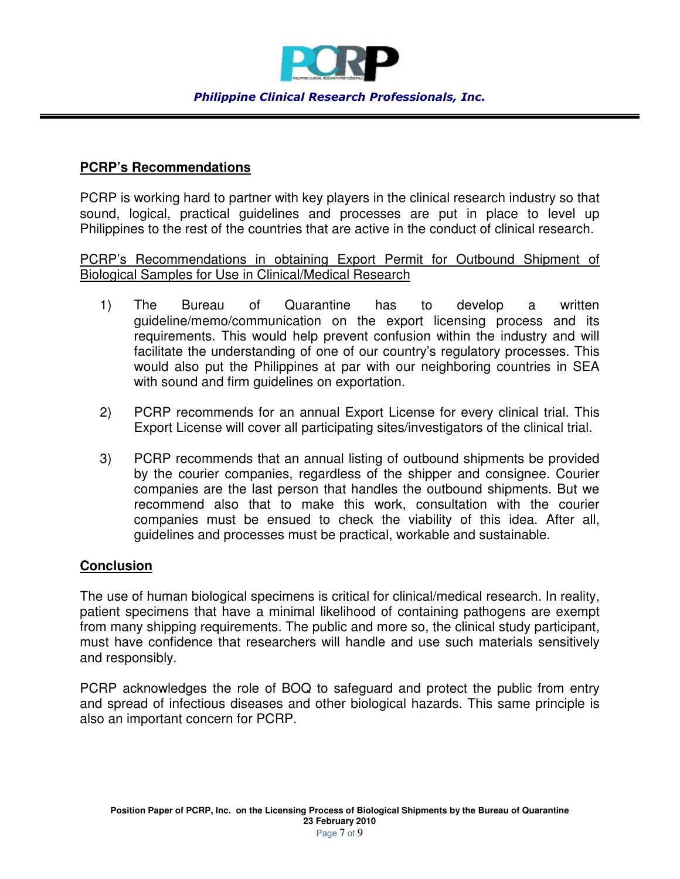

#### *Philippine Clinical Research Professionals, Inc.*

## **PCRP's Recommendations**

PCRP is working hard to partner with key players in the clinical research industry so that sound, logical, practical guidelines and processes are put in place to level up Philippines to the rest of the countries that are active in the conduct of clinical research.

PCRP's Recommendations in obtaining Export Permit for Outbound Shipment of Biological Samples for Use in Clinical/Medical Research

- 1) The Bureau of Quarantine has to develop a written guideline/memo/communication on the export licensing process and its requirements. This would help prevent confusion within the industry and will facilitate the understanding of one of our country's regulatory processes. This would also put the Philippines at par with our neighboring countries in SEA with sound and firm guidelines on exportation.
- 2) PCRP recommends for an annual Export License for every clinical trial. This Export License will cover all participating sites/investigators of the clinical trial.
- 3) PCRP recommends that an annual listing of outbound shipments be provided by the courier companies, regardless of the shipper and consignee. Courier companies are the last person that handles the outbound shipments. But we recommend also that to make this work, consultation with the courier companies must be ensued to check the viability of this idea. After all, guidelines and processes must be practical, workable and sustainable.

## **Conclusion**

The use of human biological specimens is critical for clinical/medical research. In reality, patient specimens that have a minimal likelihood of containing pathogens are exempt from many shipping requirements. The public and more so, the clinical study participant, must have confidence that researchers will handle and use such materials sensitively and responsibly.

PCRP acknowledges the role of BOQ to safeguard and protect the public from entry and spread of infectious diseases and other biological hazards. This same principle is also an important concern for PCRP.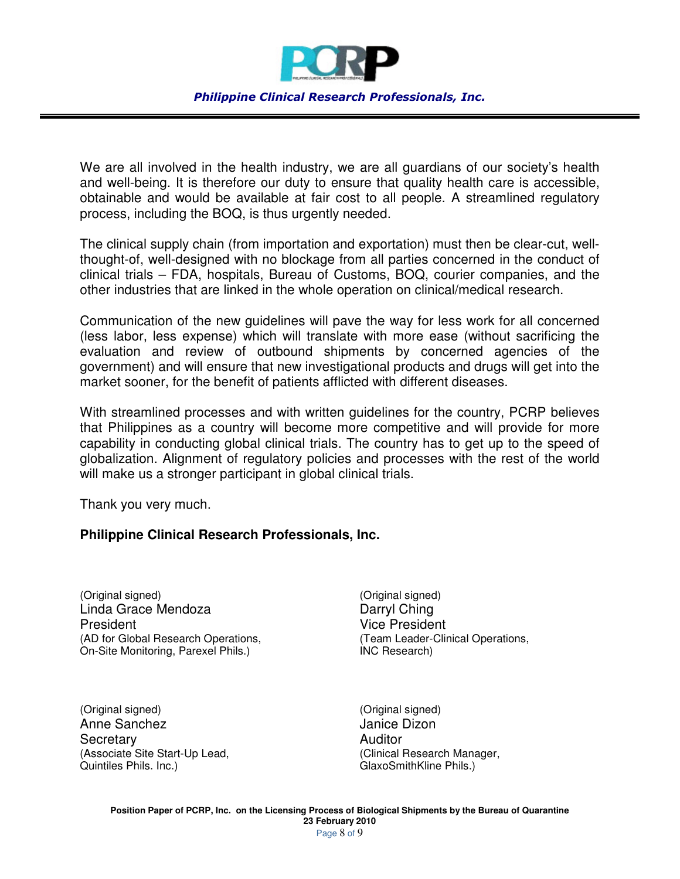

We are all involved in the health industry, we are all guardians of our society's health and well-being. It is therefore our duty to ensure that quality health care is accessible, obtainable and would be available at fair cost to all people. A streamlined regulatory process, including the BOQ, is thus urgently needed.

The clinical supply chain (from importation and exportation) must then be clear-cut, wellthought-of, well-designed with no blockage from all parties concerned in the conduct of clinical trials – FDA, hospitals, Bureau of Customs, BOQ, courier companies, and the other industries that are linked in the whole operation on clinical/medical research.

Communication of the new guidelines will pave the way for less work for all concerned (less labor, less expense) which will translate with more ease (without sacrificing the evaluation and review of outbound shipments by concerned agencies of the government) and will ensure that new investigational products and drugs will get into the market sooner, for the benefit of patients afflicted with different diseases.

With streamlined processes and with written guidelines for the country, PCRP believes that Philippines as a country will become more competitive and will provide for more capability in conducting global clinical trials. The country has to get up to the speed of globalization. Alignment of regulatory policies and processes with the rest of the world will make us a stronger participant in global clinical trials.

Thank you very much.

#### **Philippine Clinical Research Professionals, Inc.**

(Original signed) (Original signed) Linda Grace Mendoza **Darryl Ching** President **President President** (AD for Global Research Operations, (Team Leader-Clinical Operations, On-Site Monitoring, Parexel Phils.) INC Research)

(Original signed) (Original signed) Anne Sanchez **Janice Dizon** Secretary **Auditor** Auditor (Associate Site Start-Up Lead,  $\qquad \qquad$  (Clinical Research Manager, Quintiles Phils.)

GlaxoSmithKline Phils.)